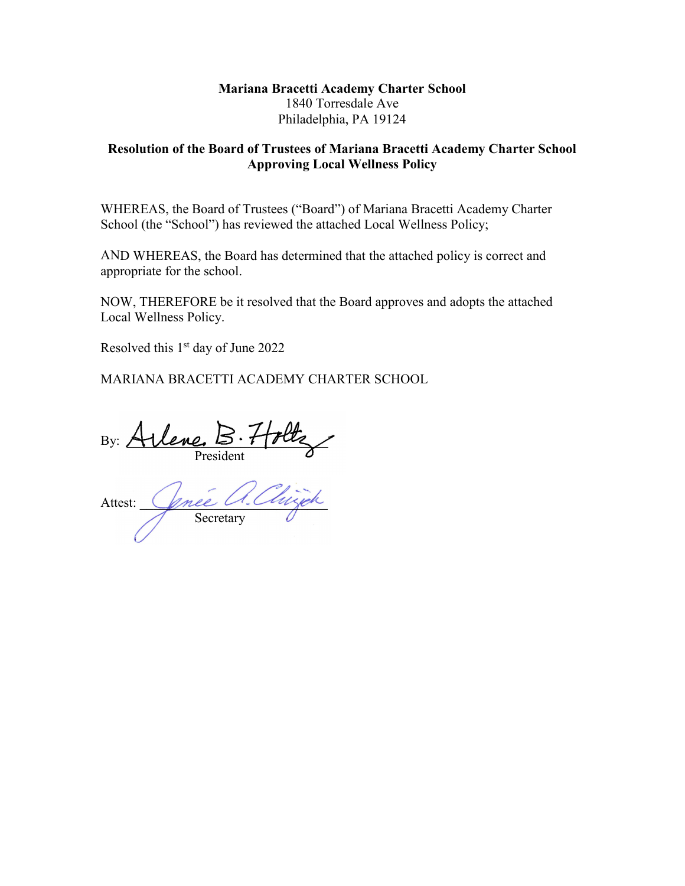#### **Mariana Bracetti Academy Charter School** 1840 Torresdale Ave Philadelphia, PA 19124

#### **Resolution of the Board of Trustees of Mariana Bracetti Academy Charter School Approving Local Wellness Policy**

WHEREAS, the Board of Trustees ("Board") of Mariana Bracetti Academy Charter School (the "School") has reviewed the attached Local Wellness Policy;

AND WHEREAS, the Board has determined that the attached policy is correct and appropriate for the school.

NOW, THEREFORE be it resolved that the Board approves and adopts the attached Local Wellness Policy.

Resolved this  $1<sup>st</sup>$  day of June 2022

MARIANA BRACETTI ACADEMY CHARTER SCHOOL

By:  $AUene. \triangleright Ttrue$ President

Attest: *Gnee U. Chlyen* Secretary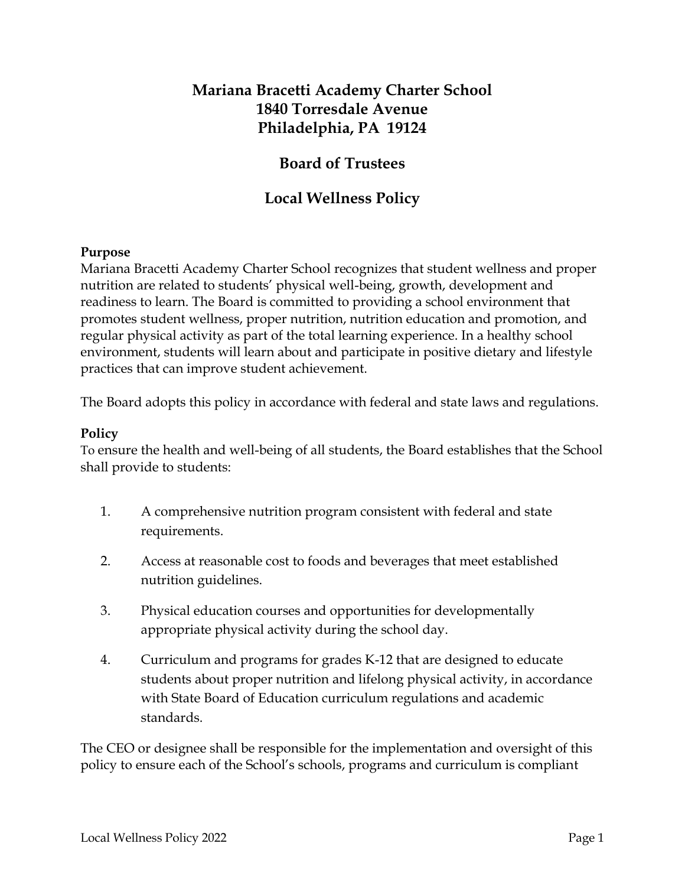# **Mariana Bracetti Academy Charter School 1840 Torresdale Avenue Philadelphia, PA 19124**

# **Board of Trustees**

# **Local Wellness Policy**

#### **Purpose**

Mariana Bracetti Academy Charter School recognizes that student wellness and proper nutrition are related to students' physical well-being, growth, development and readiness to learn. The Board is committed to providing a school environment that promotes student wellness, proper nutrition, nutrition education and promotion, and regular physical activity as part of the total learning experience. In a healthy school environment, students will learn about and participate in positive dietary and lifestyle practices that can improve student achievement.

The Board adopts this policy in accordance with federal and state laws and regulations.

### **Policy**

To ensure the health and well-being of all students, the Board establishes that the School shall provide to students:

- 1. A comprehensive nutrition program consistent with federal and state requirements.
- 2. Access at reasonable cost to foods and beverages that meet established nutrition guidelines.
- 3. Physical education courses and opportunities for developmentally appropriate physical activity during the school day.
- 4. Curriculum and programs for grades K-12 that are designed to educate students about proper nutrition and lifelong physical activity, in accordance with State Board of Education curriculum regulations and academic standards.

The CEO or designee shall be responsible for the implementation and oversight of this policy to ensure each of the School's schools, programs and curriculum is compliant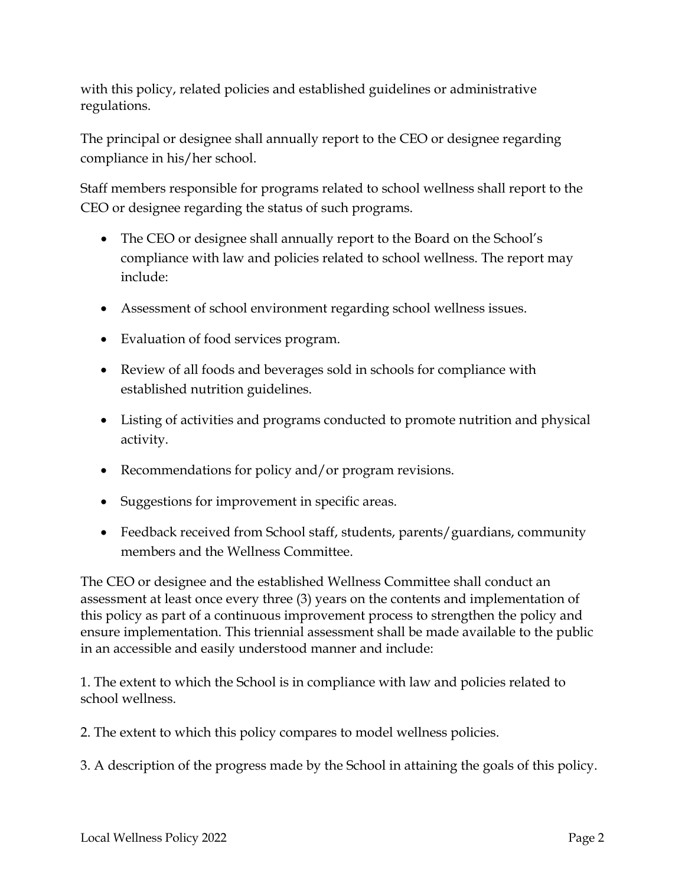with this policy, related policies and established guidelines or administrative regulations.

The principal or designee shall annually report to the CEO or designee regarding compliance in his/her school.

Staff members responsible for programs related to school wellness shall report to the CEO or designee regarding the status of such programs.

- The CEO or designee shall annually report to the Board on the School's compliance with law and policies related to school wellness. The report may include:
- Assessment of school environment regarding school wellness issues.
- Evaluation of food services program.
- Review of all foods and beverages sold in schools for compliance with established nutrition guidelines.
- Listing of activities and programs conducted to promote nutrition and physical activity.
- Recommendations for policy and/or program revisions.
- Suggestions for improvement in specific areas.
- Feedback received from School staff, students, parents/guardians, community members and the Wellness Committee.

The CEO or designee and the established Wellness Committee shall conduct an assessment at least once every three (3) years on the contents and implementation of this policy as part of a continuous improvement process to strengthen the policy and ensure implementation. This triennial assessment shall be made available to the public in an accessible and easily understood manner and include:

1. The extent to which the School is in compliance with law and policies related to school wellness.

2. The extent to which this policy compares to model wellness policies.

3. A description of the progress made by the School in attaining the goals of this policy.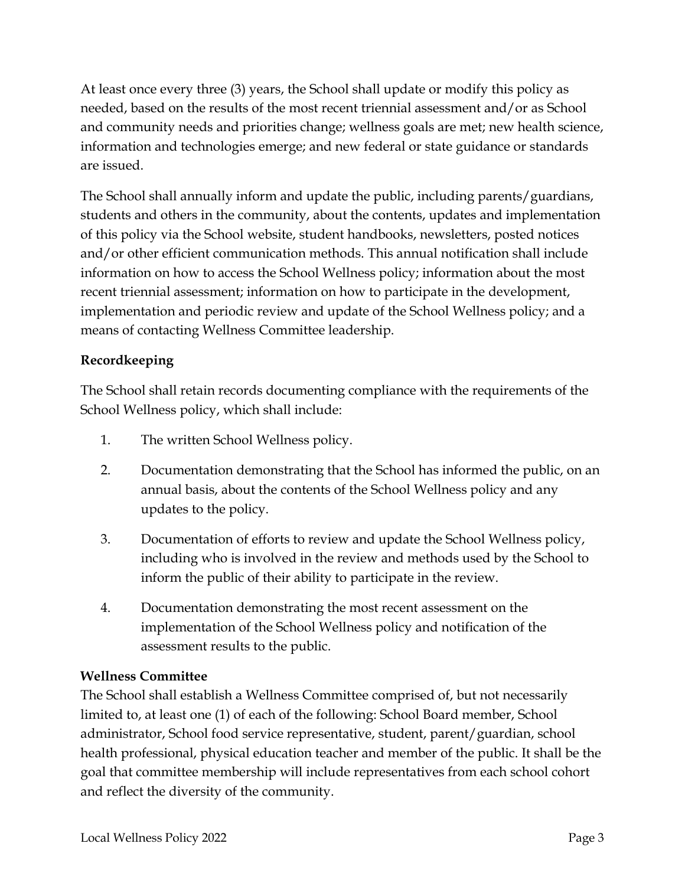At least once every three (3) years, the School shall update or modify this policy as needed, based on the results of the most recent triennial assessment and/or as School and community needs and priorities change; wellness goals are met; new health science, information and technologies emerge; and new federal or state guidance or standards are issued.

The School shall annually inform and update the public, including parents/guardians, students and others in the community, about the contents, updates and implementation of this policy via the School website, student handbooks, newsletters, posted notices and/or other efficient communication methods. This annual notification shall include information on how to access the School Wellness policy; information about the most recent triennial assessment; information on how to participate in the development, implementation and periodic review and update of the School Wellness policy; and a means of contacting Wellness Committee leadership.

# **Recordkeeping**

The School shall retain records documenting compliance with the requirements of the School Wellness policy, which shall include:

- 1. The written School Wellness policy.
- 2. Documentation demonstrating that the School has informed the public, on an annual basis, about the contents of the School Wellness policy and any updates to the policy.
- 3. Documentation of efforts to review and update the School Wellness policy, including who is involved in the review and methods used by the School to inform the public of their ability to participate in the review.
- 4. Documentation demonstrating the most recent assessment on the implementation of the School Wellness policy and notification of the assessment results to the public.

# **Wellness Committee**

The School shall establish a Wellness Committee comprised of, but not necessarily limited to, at least one (1) of each of the following: School Board member, School administrator, School food service representative, student, parent/guardian, school health professional, physical education teacher and member of the public. It shall be the goal that committee membership will include representatives from each school cohort and reflect the diversity of the community.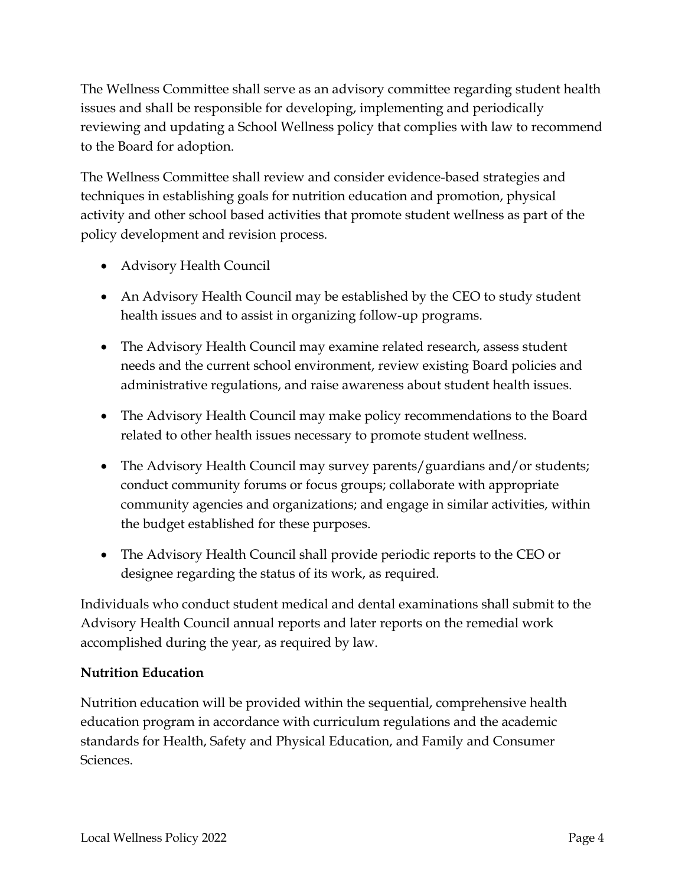The Wellness Committee shall serve as an advisory committee regarding student health issues and shall be responsible for developing, implementing and periodically reviewing and updating a School Wellness policy that complies with law to recommend to the Board for adoption.

The Wellness Committee shall review and consider evidence-based strategies and techniques in establishing goals for nutrition education and promotion, physical activity and other school based activities that promote student wellness as part of the policy development and revision process.

- Advisory Health Council
- An Advisory Health Council may be established by the CEO to study student health issues and to assist in organizing follow-up programs.
- The Advisory Health Council may examine related research, assess student needs and the current school environment, review existing Board policies and administrative regulations, and raise awareness about student health issues.
- The Advisory Health Council may make policy recommendations to the Board related to other health issues necessary to promote student wellness.
- The Advisory Health Council may survey parents/guardians and/or students; conduct community forums or focus groups; collaborate with appropriate community agencies and organizations; and engage in similar activities, within the budget established for these purposes.
- The Advisory Health Council shall provide periodic reports to the CEO or designee regarding the status of its work, as required.

Individuals who conduct student medical and dental examinations shall submit to the Advisory Health Council annual reports and later reports on the remedial work accomplished during the year, as required by law.

# **Nutrition Education**

Nutrition education will be provided within the sequential, comprehensive health education program in accordance with curriculum regulations and the academic standards for Health, Safety and Physical Education, and Family and Consumer Sciences.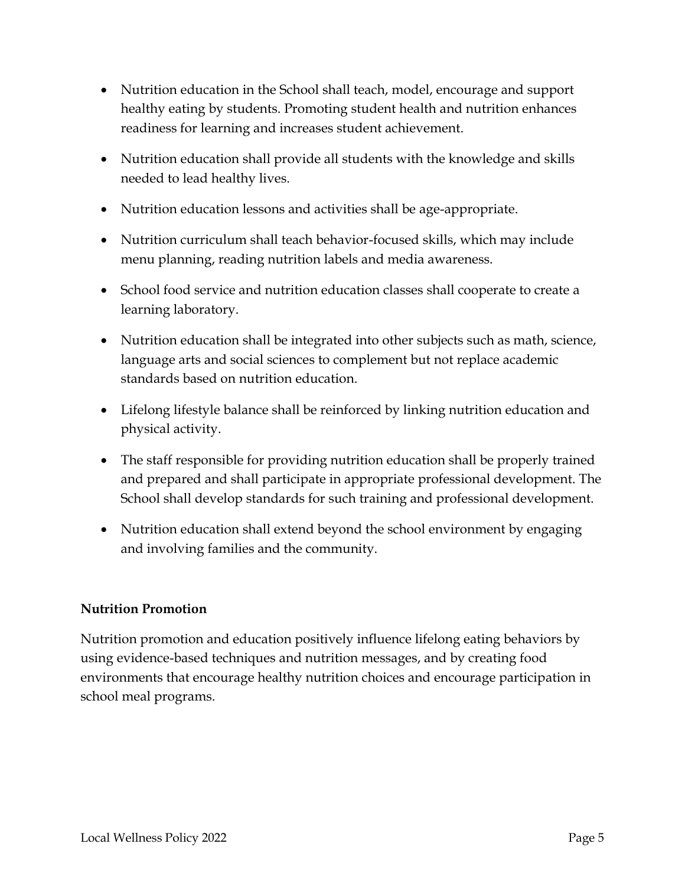- Nutrition education in the School shall teach, model, encourage and support healthy eating by students. Promoting student health and nutrition enhances readiness for learning and increases student achievement.
- Nutrition education shall provide all students with the knowledge and skills needed to lead healthy lives.
- Nutrition education lessons and activities shall be age-appropriate.
- Nutrition curriculum shall teach behavior-focused skills, which may include menu planning, reading nutrition labels and media awareness.
- School food service and nutrition education classes shall cooperate to create a learning laboratory.
- Nutrition education shall be integrated into other subjects such as math, science, language arts and social sciences to complement but not replace academic standards based on nutrition education.
- Lifelong lifestyle balance shall be reinforced by linking nutrition education and physical activity.
- The staff responsible for providing nutrition education shall be properly trained and prepared and shall participate in appropriate professional development. The School shall develop standards for such training and professional development.
- Nutrition education shall extend beyond the school environment by engaging and involving families and the community.

#### **Nutrition Promotion**

Nutrition promotion and education positively influence lifelong eating behaviors by using evidence-based techniques and nutrition messages, and by creating food environments that encourage healthy nutrition choices and encourage participation in school meal programs.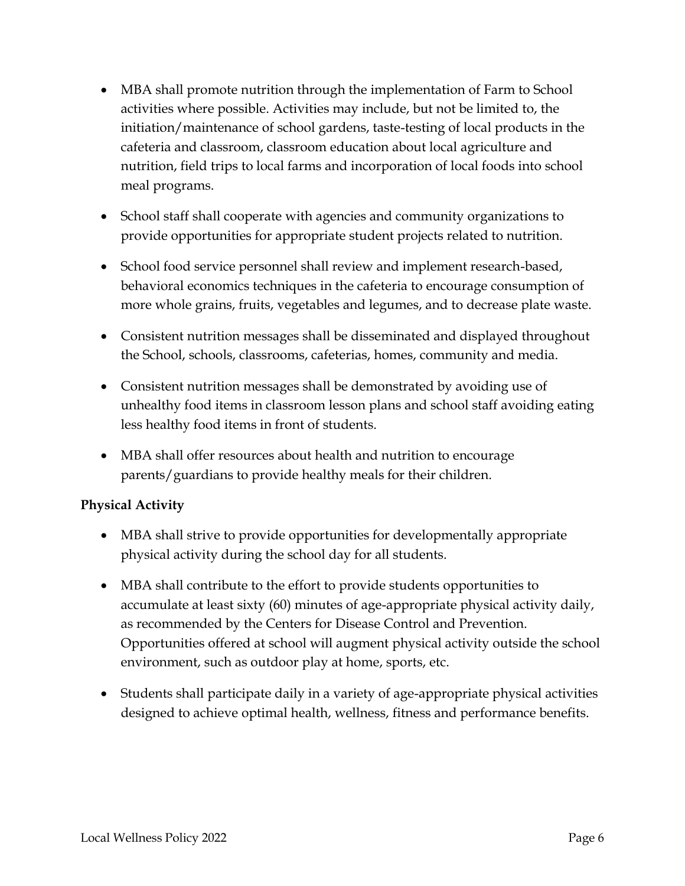- MBA shall promote nutrition through the implementation of Farm to School activities where possible. Activities may include, but not be limited to, the initiation/maintenance of school gardens, taste-testing of local products in the cafeteria and classroom, classroom education about local agriculture and nutrition, field trips to local farms and incorporation of local foods into school meal programs.
- School staff shall cooperate with agencies and community organizations to provide opportunities for appropriate student projects related to nutrition.
- School food service personnel shall review and implement research-based, behavioral economics techniques in the cafeteria to encourage consumption of more whole grains, fruits, vegetables and legumes, and to decrease plate waste.
- Consistent nutrition messages shall be disseminated and displayed throughout the School, schools, classrooms, cafeterias, homes, community and media.
- Consistent nutrition messages shall be demonstrated by avoiding use of unhealthy food items in classroom lesson plans and school staff avoiding eating less healthy food items in front of students.
- MBA shall offer resources about health and nutrition to encourage parents/guardians to provide healthy meals for their children.

# **Physical Activity**

- MBA shall strive to provide opportunities for developmentally appropriate physical activity during the school day for all students.
- MBA shall contribute to the effort to provide students opportunities to accumulate at least sixty (60) minutes of age-appropriate physical activity daily, as recommended by the Centers for Disease Control and Prevention. Opportunities offered at school will augment physical activity outside the school environment, such as outdoor play at home, sports, etc.
- Students shall participate daily in a variety of age-appropriate physical activities designed to achieve optimal health, wellness, fitness and performance benefits.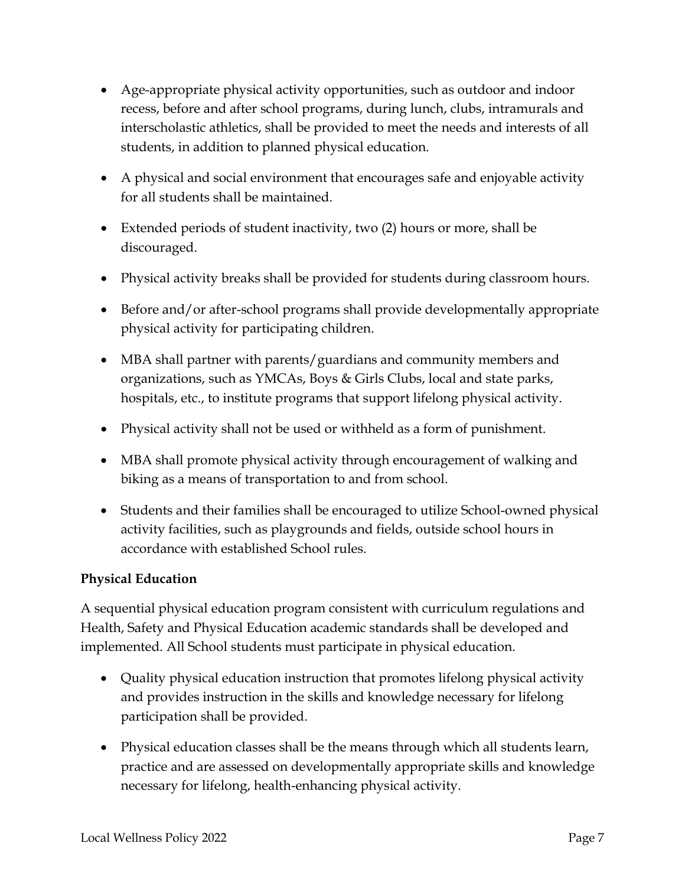- Age-appropriate physical activity opportunities, such as outdoor and indoor recess, before and after school programs, during lunch, clubs, intramurals and interscholastic athletics, shall be provided to meet the needs and interests of all students, in addition to planned physical education.
- A physical and social environment that encourages safe and enjoyable activity for all students shall be maintained.
- Extended periods of student inactivity, two (2) hours or more, shall be discouraged.
- Physical activity breaks shall be provided for students during classroom hours.
- Before and/or after-school programs shall provide developmentally appropriate physical activity for participating children.
- MBA shall partner with parents/guardians and community members and organizations, such as YMCAs, Boys & Girls Clubs, local and state parks, hospitals, etc., to institute programs that support lifelong physical activity.
- Physical activity shall not be used or withheld as a form of punishment.
- MBA shall promote physical activity through encouragement of walking and biking as a means of transportation to and from school.
- Students and their families shall be encouraged to utilize School-owned physical activity facilities, such as playgrounds and fields, outside school hours in accordance with established School rules.

# **Physical Education**

A sequential physical education program consistent with curriculum regulations and Health, Safety and Physical Education academic standards shall be developed and implemented. All School students must participate in physical education.

- Quality physical education instruction that promotes lifelong physical activity and provides instruction in the skills and knowledge necessary for lifelong participation shall be provided.
- Physical education classes shall be the means through which all students learn, practice and are assessed on developmentally appropriate skills and knowledge necessary for lifelong, health-enhancing physical activity.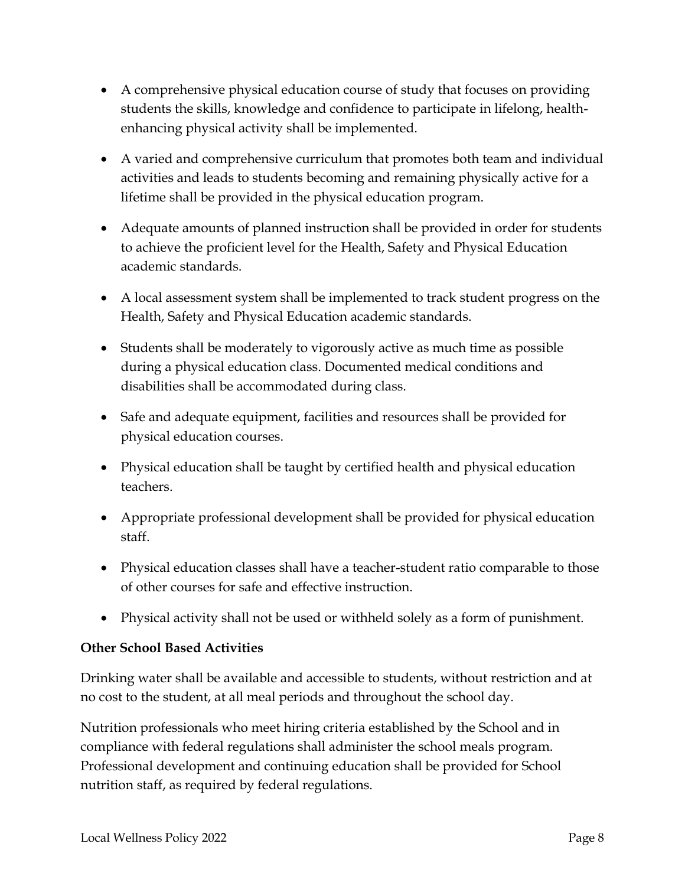- A comprehensive physical education course of study that focuses on providing students the skills, knowledge and confidence to participate in lifelong, healthenhancing physical activity shall be implemented.
- A varied and comprehensive curriculum that promotes both team and individual activities and leads to students becoming and remaining physically active for a lifetime shall be provided in the physical education program.
- Adequate amounts of planned instruction shall be provided in order for students to achieve the proficient level for the Health, Safety and Physical Education academic standards.
- A local assessment system shall be implemented to track student progress on the Health, Safety and Physical Education academic standards.
- Students shall be moderately to vigorously active as much time as possible during a physical education class. Documented medical conditions and disabilities shall be accommodated during class.
- Safe and adequate equipment, facilities and resources shall be provided for physical education courses.
- Physical education shall be taught by certified health and physical education teachers.
- Appropriate professional development shall be provided for physical education staff.
- Physical education classes shall have a teacher-student ratio comparable to those of other courses for safe and effective instruction.
- Physical activity shall not be used or withheld solely as a form of punishment.

#### **Other School Based Activities**

Drinking water shall be available and accessible to students, without restriction and at no cost to the student, at all meal periods and throughout the school day.

Nutrition professionals who meet hiring criteria established by the School and in compliance with federal regulations shall administer the school meals program. Professional development and continuing education shall be provided for School nutrition staff, as required by federal regulations.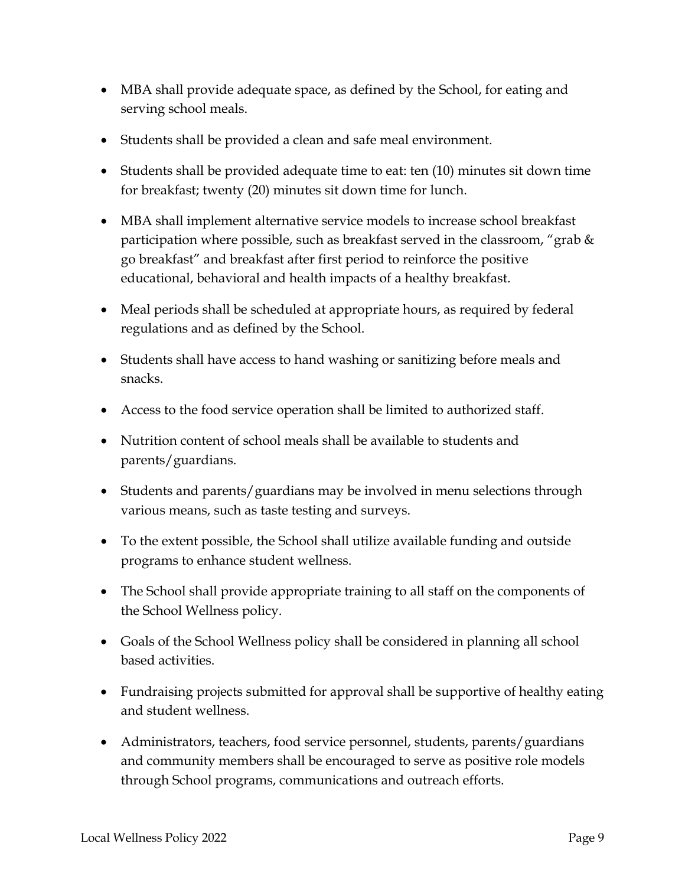- MBA shall provide adequate space, as defined by the School, for eating and serving school meals.
- Students shall be provided a clean and safe meal environment.
- Students shall be provided adequate time to eat: ten (10) minutes sit down time for breakfast; twenty (20) minutes sit down time for lunch.
- MBA shall implement alternative service models to increase school breakfast participation where possible, such as breakfast served in the classroom, "grab  $\&$ go breakfast" and breakfast after first period to reinforce the positive educational, behavioral and health impacts of a healthy breakfast.
- Meal periods shall be scheduled at appropriate hours, as required by federal regulations and as defined by the School.
- Students shall have access to hand washing or sanitizing before meals and snacks.
- Access to the food service operation shall be limited to authorized staff.
- Nutrition content of school meals shall be available to students and parents/guardians.
- Students and parents/guardians may be involved in menu selections through various means, such as taste testing and surveys.
- To the extent possible, the School shall utilize available funding and outside programs to enhance student wellness.
- The School shall provide appropriate training to all staff on the components of the School Wellness policy.
- Goals of the School Wellness policy shall be considered in planning all school based activities.
- Fundraising projects submitted for approval shall be supportive of healthy eating and student wellness.
- Administrators, teachers, food service personnel, students, parents/guardians and community members shall be encouraged to serve as positive role models through School programs, communications and outreach efforts.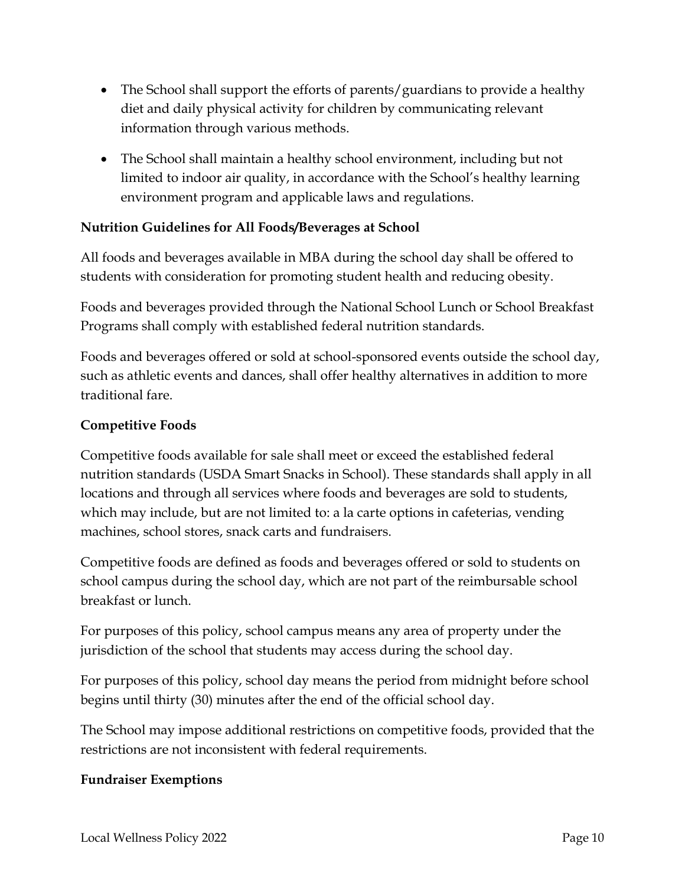- The School shall support the efforts of parents/guardians to provide a healthy diet and daily physical activity for children by communicating relevant information through various methods.
- The School shall maintain a healthy school environment, including but not limited to indoor air quality, in accordance with the School's healthy learning environment program and applicable laws and regulations.

### **Nutrition Guidelines for All Foods/Beverages at School**

All foods and beverages available in MBA during the school day shall be offered to students with consideration for promoting student health and reducing obesity.

Foods and beverages provided through the National School Lunch or School Breakfast Programs shall comply with established federal nutrition standards.

Foods and beverages offered or sold at school-sponsored events outside the school day, such as athletic events and dances, shall offer healthy alternatives in addition to more traditional fare.

#### **Competitive Foods**

Competitive foods available for sale shall meet or exceed the established federal nutrition standards (USDA Smart Snacks in School). These standards shall apply in all locations and through all services where foods and beverages are sold to students, which may include, but are not limited to: a la carte options in cafeterias, vending machines, school stores, snack carts and fundraisers.

Competitive foods are defined as foods and beverages offered or sold to students on school campus during the school day, which are not part of the reimbursable school breakfast or lunch.

For purposes of this policy, school campus means any area of property under the jurisdiction of the school that students may access during the school day.

For purposes of this policy, school day means the period from midnight before school begins until thirty (30) minutes after the end of the official school day.

The School may impose additional restrictions on competitive foods, provided that the restrictions are not inconsistent with federal requirements.

#### **Fundraiser Exemptions**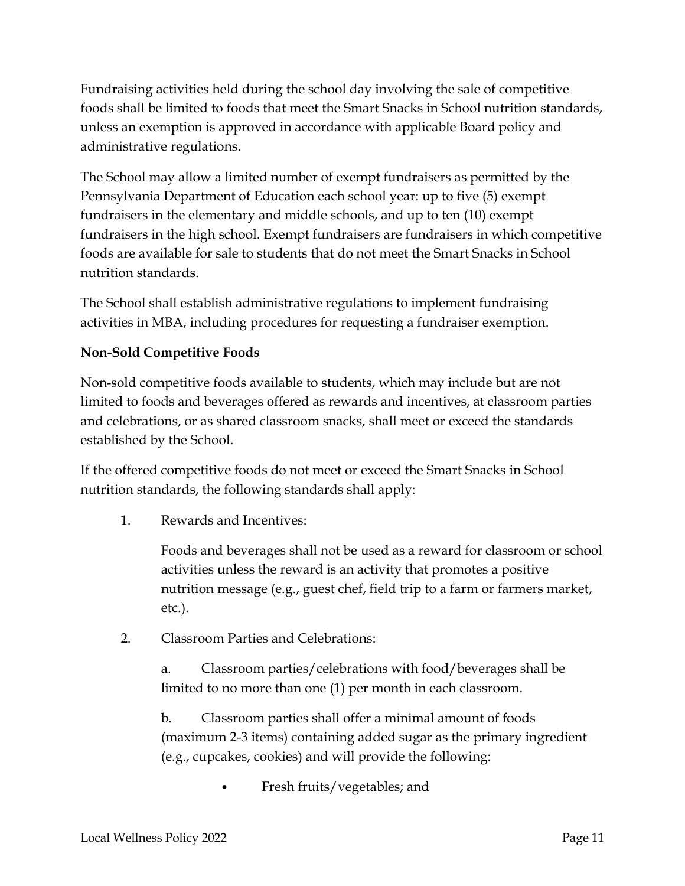Fundraising activities held during the school day involving the sale of competitive foods shall be limited to foods that meet the Smart Snacks in School nutrition standards, unless an exemption is approved in accordance with applicable Board policy and administrative regulations.

The School may allow a limited number of exempt fundraisers as permitted by the Pennsylvania Department of Education each school year: up to five (5) exempt fundraisers in the elementary and middle schools, and up to ten (10) exempt fundraisers in the high school. Exempt fundraisers are fundraisers in which competitive foods are available for sale to students that do not meet the Smart Snacks in School nutrition standards.

The School shall establish administrative regulations to implement fundraising activities in MBA, including procedures for requesting a fundraiser exemption.

# **Non-Sold Competitive Foods**

Non-sold competitive foods available to students, which may include but are not limited to foods and beverages offered as rewards and incentives, at classroom parties and celebrations, or as shared classroom snacks, shall meet or exceed the standards established by the School.

If the offered competitive foods do not meet or exceed the Smart Snacks in School nutrition standards, the following standards shall apply:

1. Rewards and Incentives:

Foods and beverages shall not be used as a reward for classroom or school activities unless the reward is an activity that promotes a positive nutrition message (e.g., guest chef, field trip to a farm or farmers market, etc.).

2. Classroom Parties and Celebrations:

a. Classroom parties/celebrations with food/beverages shall be limited to no more than one (1) per month in each classroom.

b. Classroom parties shall offer a minimal amount of foods (maximum 2-3 items) containing added sugar as the primary ingredient (e.g., cupcakes, cookies) and will provide the following:

• Fresh fruits/vegetables; and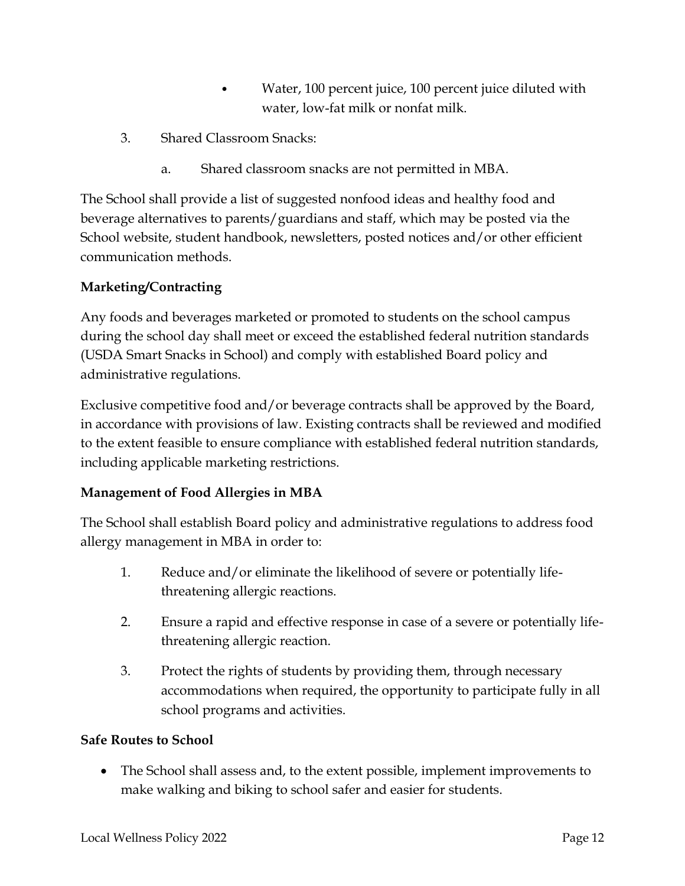- Water, 100 percent juice, 100 percent juice diluted with water, low-fat milk or nonfat milk.
- 3. Shared Classroom Snacks:
	- a. Shared classroom snacks are not permitted in MBA.

The School shall provide a list of suggested nonfood ideas and healthy food and beverage alternatives to parents/guardians and staff, which may be posted via the School website, student handbook, newsletters, posted notices and/or other efficient communication methods.

# **Marketing/Contracting**

Any foods and beverages marketed or promoted to students on the school campus during the school day shall meet or exceed the established federal nutrition standards (USDA Smart Snacks in School) and comply with established Board policy and administrative regulations.

Exclusive competitive food and/or beverage contracts shall be approved by the Board, in accordance with provisions of law. Existing contracts shall be reviewed and modified to the extent feasible to ensure compliance with established federal nutrition standards, including applicable marketing restrictions.

# **Management of Food Allergies in MBA**

The School shall establish Board policy and administrative regulations to address food allergy management in MBA in order to:

- 1. Reduce and/or eliminate the likelihood of severe or potentially lifethreatening allergic reactions.
- 2. Ensure a rapid and effective response in case of a severe or potentially lifethreatening allergic reaction.
- 3. Protect the rights of students by providing them, through necessary accommodations when required, the opportunity to participate fully in all school programs and activities.

#### **Safe Routes to School**

 The School shall assess and, to the extent possible, implement improvements to make walking and biking to school safer and easier for students.